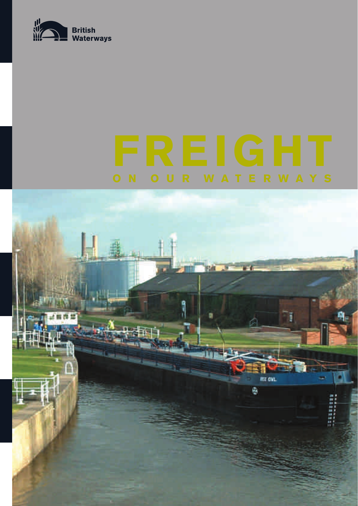

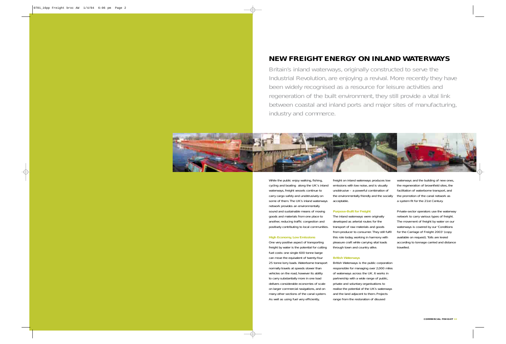Britain's inland waterways, originally constructed to serve the Industrial Revolution, are enjoying a revival. More recently they have been widely recognised as a resource for leisure activities and regeneration of the built environment, they still provide a vital link between coastal and inland ports and major sites of manufacturing, industry and commerce.



While the public enjoy walking, fishing, cycling and boating along the UK's inland waterways, freight vessels continue to carry cargo safely and unobtrusively on some of them. The UK's inland waterways network provides an environmentally sound and sustainable means of moving goods and materials from one place to another, reducing traffic congestion and positively contributing to local communities.

#### **High Economy, Low Emissions**

One very positive aspect of transporting freight by water is the potential for cutting fuel costs: one single 600 tonne barge can move the equivalent of twenty-four 25 tonne lorry loads. Waterborne transport normally travels at speeds slower than vehicles on the road, however its ability to carry substantially more in one load delivers considerable economies of scale on larger commercial navigations, and on many other sections of the canal system. As well as using fuel very efficiently,

freight on inland waterways produces low emissions with low noise, and is visually unobtrusive – a powerful combination of the environmentally friendly and the socially acceptable.

### **Purpose-Built for Freight**

The inland waterways were originally developed as arterial routes for the transport of raw materials and goods from producer to consumer. They still fulfil this role today, working in harmony with pleasure craft while carrying vital loads through town and country alike.

#### **British Waterways**

British Waterways is the public corporation responsible for managing over 2,000 miles of waterways across the UK. It works in partnership with a wide range of public, private and voluntary organisations to realise the potential of the UK's waterways and the land adjacent to them. Projects range from the restoration of disused

waterways and the building of new ones, the regeneration of brownfield sites, the facilitation of waterborne transport, and the promotion of the canal network as a system fit for the 21st Century.

Private-sector operators use the waterway network to carry various types of freight. The movement of freight by water on our waterways is covered by our 'Conditions for the Carriage of Freight 2003' (copy available on request). Tolls are levied according to tonnage carried and distance travelled.

# **NEW FREIGHT ENERGY ON INLAND WATERWAYS**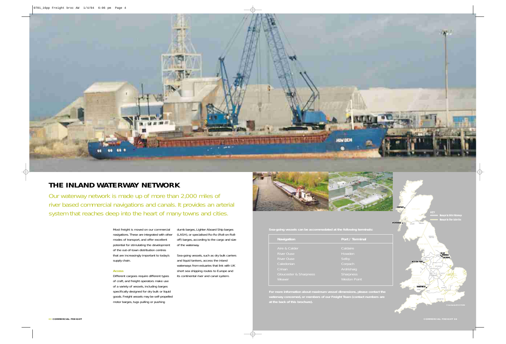



Most freight is moved on our commercial navigations. These are integrated with other modes of transport, and offer excellent potential for stimulating the development of the out-of-town distribution centres that are increasingly important to today's supply chain.

Our waterway network is made up of more than 2,000 miles of river based commercial navigations and canals. It provides an arterial system that reaches deep into the heart of many towns and cities.

#### **Access**

Different cargoes require different types of craft, and freight operators make use of a variety of vessels, including barges specifically designed for dry bulk or liquid goods. Freight vessels may be self-propelled motor barges, tugs pulling or pushing

dumb barges, Lighter Aboard Ship barges (LASH), or specialised Ro-Ro (Roll-on-Rolloff) barges, according to the cargo and size of the waterway.

Sea-going vessels, such as dry bulk carriers and liquid tankers, access the inland waterways from estuaries that link with UK short sea shipping routes to Europe and its continental river and canal system.



**Sea-going vessels can be accommodated at the following terminals:**

**waterway concerned, or members of our Freight Team (contact numbers are** 



### **THE INLAND WATERWAY NETWORK**

| Navigation             | Port / Terminal     |
|------------------------|---------------------|
| Aire & Calder          | Caldaire            |
| River Ouse             | Howden              |
| <b>River Ouse</b>      | Selby               |
| Caledonian             | Corpach             |
| Crinan                 | Ardrishaig          |
| Gloucester & Sharpness | Sharpness           |
| Weaver                 | <b>Weston Point</b> |
|                        |                     |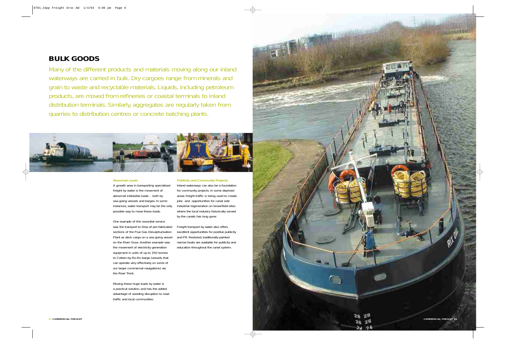

#### **Abnormal Loads**

A growth area in transporting specialised freight by water is the movement of abnormal indivisible loads – both by sea-going vessels and barges. In some instances, water transport may be the only possible way to move these loads.

One example of this essential service was the transport to Drax of pre-fabricated sections of the Flue Gas Desulphurisation Plant as deck cargo on a sea-going vessel on the River Ouse. Another example was the movement of electricity generation equipment in units of up to 350 tonnes to Cottam by Ro-Ro barge (vessels that can operate very effectively on some of our larger commercial navigations) via the River Trent.

Moving these huge loads by water is a practical solution, and has the added advantage of avoiding disruption to road traffic and local communities.

#### **Publicity and Community Projects**

Inland waterways can also be a foundation for community projects. In some deprived areas freight traffic is being used to create jobs and opportunities for canal side industrial regeneration on brownfield sites where the local industry historically served by the canals has long gone

Freight transport by water also offers excellent opportunities for positive publicity and PR. Restored, traditionally painted narrow boats are available for publicity and education throughout the canal system.

Many of the different products and materials moving along our inland waterways are carried in bulk. Dry cargoes range from minerals and grain to waste and recyclable materials. Liquids, including petroleum products, are moved from refineries or coastal terminals to inland distribution terminals. Similarly, aggregates are regularly taken from quarries to distribution centres or concrete batching plants.



## **BULK GOODS**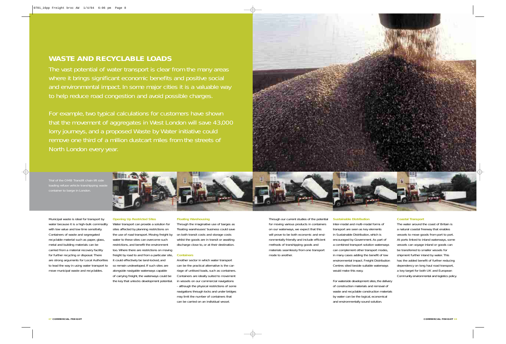The vast potential of water transport is clear from the many areas where it brings significant economic benefits and positive social and environmental impact. In some major cities it is a valuable way to help reduce road congestion and avoid possible charges.

For example, two typical calculations for customers have shown that the movement of aggregates in West London will save 43,000 lorry journeys, and a proposed Waste by Water initiative could remove one third of a million dustcart miles from the streets of North London every year.



Municipal waste is ideal for transport by water because it is a high-bulk commodity with low value and low time sensitivity. Containers of waste and segregated recyclable material such as paper, glass, metal and building materials can be carried from a material recovery facility for further recycling or disposal. There are strong arguments for Local Authorities to lead the way in using water transport to move municipal waste and recyclables.

### **Opening Up Restricted Sites**

Trial of the OMB Translift chain lift side loading refuse vehicle transhipping waste



Water transport can provide a solution for sites affected by planning restrictions on the use of road transport. Moving freight by water to these sites can overcome such restrictions, and benefit the environment too. Where there are restrictions on moving freight by road to and from a particular site, it could effectively be land-locked, and so remain undeveloped. If such sites are alongside navigable waterways capable of carrying freight, the waterways could be the key that unlocks development potential.

#### **Floating Warehousing**

Through the imaginative use of barges as 'floating warehouses' business could save on both transit costs and storage costs whilst the goods are in transit or awaiting discharge close to, or at their destination.

#### **Containers**

Another sector in which water transport can be the practical alternative is the carriage of unitised loads, such as containers. Containers are ideally suited to movement in vessels on our commercial navigations - although the physical restrictions of some navigations through locks and under bridges may limit the number of containers that can be carried on an individual vessel.

Through our current studies of the potential for moving various products in containers on our waterways, we expect that this will prove to be both economic and environmentally friendly and include efficient methods of transhipping goods and materials seamlessly from one transport mode to another.

### **Sustainable Distribution**

Inter-modal and multi-modal forms of transport are seen as key elements in Sustainable Distribution, which is encouraged by Government. As part of a combined transport solution waterways can complement other transport modes, in many cases adding the benefit of low environmental impact. Freight Distribution Centres sited beside suitable waterways would make this easy.

For waterside development sites, the delivery of construction materials and removal of waste and recyclable construction materials by water can be the logical, economical and environmentally sound solution.

#### **Coastal Transport**

The water around the coast of Britain is a natural coastal freeway that enables vessels to move goods from port to port. At ports linked to inland waterways, some vessels can voyage inland or goods can be transferred to smaller vessels for shipment further inland by water. This has the added benefit of further reducing dependency on long haul road transport, a key target for both UK and European Community environmental and logistics policy.

### **WASTE AND RECYCLABLE LOADS**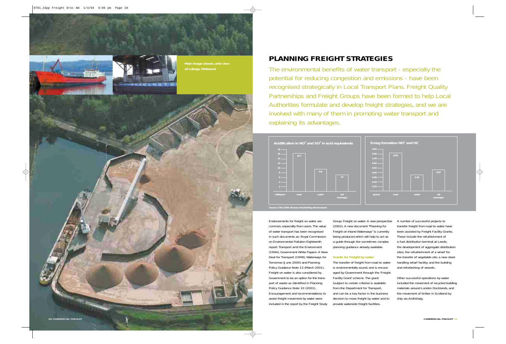The environmental benefits of water transport - especially the potential for reducing congestion and emissions - have been recognised strategically in Local Transport Plans. Freight Quality Partnerships and Freight Groups have been formed to help Local Authorities formulate and develop freight strategies, and we are involved with many of them in promoting water transport and explaining its advantages.

## **PLANNING FREIGHT STRATEGIES**

Endorsements for freight on water are common, especially from users. The value of water transport has been recognised in such documents as: Royal Commission on Environmental Pollution Eighteenth report: Transport amd the Environment (1994); Government White Papers: A New Deal for Transport (1998), Waterways for Tomorrow (June 2000) and Planning Policy Guidance Note 13 (March 2001). Freight on water is also considered by Government to be an option for the transport of waste as identified in Planning Policy Guidance Note 10 (2001). Encouragement and recommendations to assist freight movement by water were included in the report by the Freight Study



Group: Freight on water: A new perspective (2002). A new document "Planning for Freight on Inland Waterways" is currently being produced which will help to act as a guide through the sometimes complex planning guidance already available.

**Grants for Freight by water**

The transfer of freight from road to water is environmentally sound, and is encouraged by Government through the 'Freight Facility Grant' scheme. The grant (subject to certain criteria) is available from the Department for Transport, and can be a key factor in the business decision to move freight by water and to provide waterside freight facilities.

A number of successful projects to transfer freight from road to water have been assisted by Freight Facility Grants. These include the refurbishment of a fuel distribution terminal at Leeds; the development of aggregate distribution sites; the refurbishment of a wharf for the transfer of vegetable oils; a new steelhandling wharf facility; and the building and refurbishing of vessels.

Other successful operations by water included the movement of recycled building materials around London Docklands, and the movement of timber in Scotland by ship via Ardrishaig.



**Source: CBS/BVB (Bureau Voorlichting Binnenvaart)**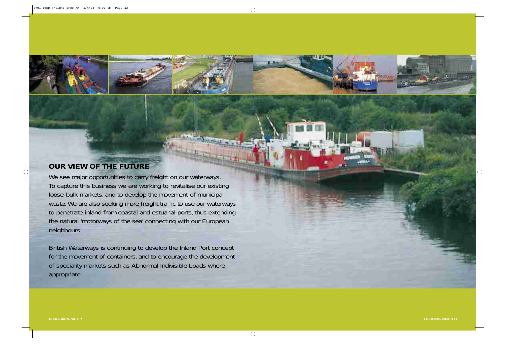We see major opportunities to carry freight on our waterways. To capture this business we are working to revitalise our existing loose-bulk markets, and to develop the movement of municipal waste. We are also seeking more freight traffic to use our waterways to penetrate inland from coastal and estuarial ports, thus extending the natural 'motorways of the sea' connecting with our European neighbours

British Waterways is continuing to develop the Inland Port concept for the movement of containers, and to encourage the development of speciality markets such as Abnormal Indivisible Loads where appropriate.



# **OUR VIEW OF THE FUTURE**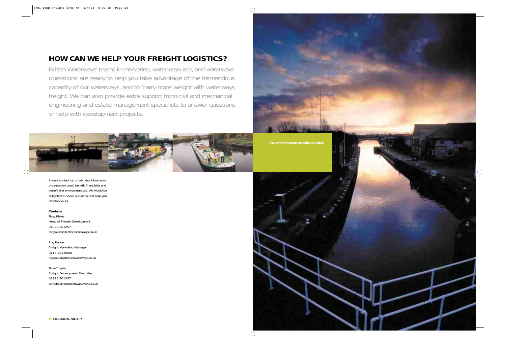British Waterways' teams in marketing, water resource, and waterways operations are ready to help you take advantage of the tremendous capacity of our waterways, and to 'carry more weight with waterways freight'. We can also provide extra support from civil and mechanical engineering and estate management specialists to answer questions or help with development projects.



Please contact us to talk about how your organisation could benefit financially, and benefit the environment too. We would be delighted to share our ideas and help you develop yours.

### **Contacts**

Tony Plews Head of Freight Development 01923 201257 tony.plews@britishwaterways.co.uk

Roy Parker Freight Marketing Manager 0113 281 6850 roy.parker@britishwaterways.co.uk

Tom Chaplin Freight Development Executive 01923 201257 tom.chaplin@britishwaterways.co.uk





# **HOW CAN WE HELP YOUR FREIGHT LOGISTICS?**